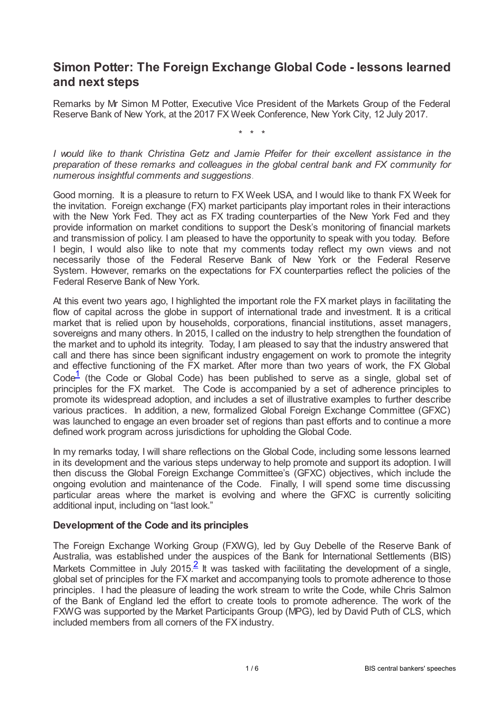# **Simon Potter: The Foreign Exchange Global Code - lessons learned and next steps**

Remarks by Mr Simon M Potter, Executive Vice President of the Markets Group of the Federal Reserve Bank of New York, at the 2017 FX Week Conference, New York City, 12 July 2017.

\* \* \*

*I would like to thank Christina Getz and Jamie Pfeifer for their excellent assistance in the preparation of these remarks and colleagues in the global central bank and FX community for numerous insightful comments and suggestions*.

Good morning. It is a pleasure to return to FX Week USA, and I would like to thank FX Week for the invitation. Foreign exchange (FX) market participants play important roles in their interactions with the New York Fed. They act as FX trading counterparties of the New York Fed and they provide information on market conditions to support the Desk's monitoring of financial markets and transmission of policy. I am pleased to have the opportunity to speak with you today. Before I begin, I would also like to note that my comments today reflect my own views and not necessarily those of the Federal Reserve Bank of New York or the Federal Reserve System. However, remarks on the expectations for FX counterparties reflect the policies of the Federal Reserve Bank of New York.

At this event two years ago, I highlighted the important role the FX market plays in facilitating the flow of capital across the globe in support of international trade and investment. It is a critical market that is relied upon by households, corporations, financial institutions, asset managers, sovereigns and many others. In 2015, I called on the industry to help strengthen the foundation of the market and to uphold its integrity. Today, I am pleased to say that the industry answered that call and there has since been significant industry engagement on work to promote the integrity and effective functioning of the FX market. After more than two years of work, the FX Global Code<sup>[1](#page-5-0)</sup> (the Code or Global Code) has been published to serve as a single, global set of principles for the FX market. The Code is accompanied by a set of adherence principles to promote its widespread adoption, and includes a set of illustrative examples to further describe various practices. In addition, a new, formalized Global Foreign Exchange Committee (GFXC) was launched to engage an even broader set of regions than past efforts and to continue a more defined work program across jurisdictions for upholding the Global Code.

<span id="page-0-0"></span>In my remarks today, I will share reflections on the Global Code, including some lessons learned in its development and the various steps underway to help promote and support its adoption. I will then discuss the Global Foreign Exchange Committee's (GFXC) objectives, which include the ongoing evolution and maintenance of the Code. Finally, I will spend some time discussing particular areas where the market is evolving and where the GFXC is currently soliciting additional input, including on "last look."

### **Development of the Code and its principles**

<span id="page-0-1"></span>The Foreign Exchange Working Group (FXWG), led by Guy Debelle of the Reserve Bank of Australia, was established under the auspices of the Bank for International Settlements (BIS) Markets Committee in July [2](#page-5-1)015. It was tasked with facilitating the development of a single, global set of principles for the FX market and accompanying tools to promote adherence to those principles. I had the pleasure of leading the work stream to write the Code, while Chris Salmon of the Bank of England led the effort to create tools to promote adherence. The work of the FXWG was supported by the Market Participants Group (MPG), led by David Puth of CLS, which included members from all corners of the FX industry.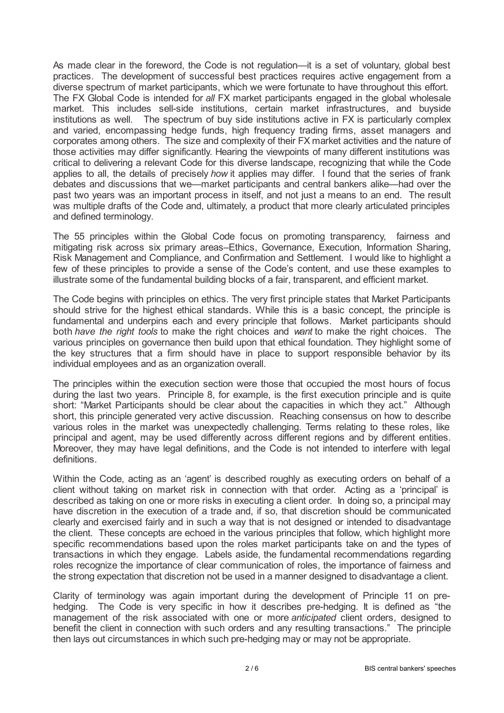As made clear in the foreword, the Code is not regulation—it is a set of voluntary, global best practices. The development of successful best practices requires active engagement from a diverse spectrum of market participants, which we were fortunate to have throughout this effort. The FX Global Code is intended for *all* FX market participants engaged in the global wholesale market. This includes sell-side institutions, certain market infrastructures, and buyside institutions as well. The spectrum of buy side institutions active in FX is particularly complex and varied, encompassing hedge funds, high frequency trading firms, asset managers and corporates among others. The size and complexity of their FX market activities and the nature of those activities may differ significantly. Hearing the viewpoints of many different institutions was critical to delivering a relevant Code for this diverse landscape, recognizing that while the Code applies to all, the details of precisely *how* it applies may differ. I found that the series of frank debates and discussions that we—market participants and central bankers alike—had over the past two years was an important process in itself, and not just a means to an end. The result was multiple drafts of the Code and, ultimately, a product that more clearly articulated principles and defined terminology.

The 55 principles within the Global Code focus on promoting transparency, fairness and mitigating risk across six primary areas–Ethics, Governance, Execution, Information Sharing, Risk Management and Compliance, and Confirmation and Settlement. I would like to highlight a few of these principles to provide a sense of the Code's content, and use these examples to illustrate some of the fundamental building blocks of a fair, transparent, and efficient market.

The Code begins with principles on ethics. The very first principle states that Market Participants should strive for the highest ethical standards. While this is a basic concept, the principle is fundamental and underpins each and every principle that follows. Market participants should both *have the right tools* to make the right choices and *want* to make the right choices. The various principles on governance then build upon that ethical foundation. They highlight some of the key structures that a firm should have in place to support responsible behavior by its individual employees and as an organization overall.

The principles within the execution section were those that occupied the most hours of focus during the last two years. Principle 8, for example, is the first execution principle and is quite short: "Market Participants should be clear about the capacities in which they act." Although short, this principle generated very active discussion. Reaching consensus on how to describe various roles in the market was unexpectedly challenging. Terms relating to these roles, like principal and agent, may be used differently across different regions and by different entities. Moreover, they may have legal definitions, and the Code is not intended to interfere with legal definitions.

Within the Code, acting as an 'agent' is described roughly as executing orders on behalf of a client without taking on market risk in connection with that order. Acting as a 'principal' is described as taking on one or more risks in executing a client order. In doing so, a principal may have discretion in the execution of a trade and, if so, that discretion should be communicated clearly and exercised fairly and in such a way that is not designed or intended to disadvantage the client. These concepts are echoed in the various principles that follow, which highlight more specific recommendations based upon the roles market participants take on and the types of transactions in which they engage. Labels aside, the fundamental recommendations regarding roles recognize the importance of clear communication of roles, the importance of fairness and the strong expectation that discretion not be used in a manner designed to disadvantage a client.

Clarity of terminology was again important during the development of Principle 11 on prehedging. The Code is very specific in how it describes pre-hedging. It is defined as "the management of the risk associated with one or more *anticipated* client orders, designed to benefit the client in connection with such orders and any resulting transactions." The principle then lays out circumstances in which such pre-hedging may or may not be appropriate.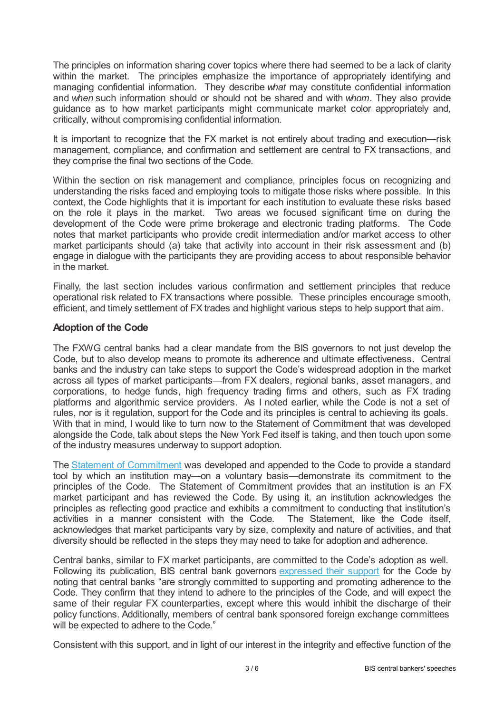The principles on information sharing cover topics where there had seemed to be a lack of clarity within the market. The principles emphasize the importance of appropriately identifying and managing confidential information. They describe *what* may constitute confidential information and *when* such information should or should not be shared and with *whom*. They also provide guidance as to how market participants might communicate market color appropriately and, critically, without compromising confidential information.

It is important to recognize that the FX market is not entirely about trading and execution—risk management, compliance, and confirmation and settlement are central to FX transactions, and they comprise the final two sections of the Code.

Within the section on risk management and compliance, principles focus on recognizing and understanding the risks faced and employing tools to mitigate those risks where possible. In this context, the Code highlights that it is important for each institution to evaluate these risks based on the role it plays in the market. Two areas we focused significant time on during the development of the Code were prime brokerage and electronic trading platforms. The Code notes that market participants who provide credit intermediation and/or market access to other market participants should (a) take that activity into account in their risk assessment and (b) engage in dialogue with the participants they are providing access to about responsible behavior in the market.

Finally, the last section includes various confirmation and settlement principles that reduce operational risk related to FX transactions where possible. These principles encourage smooth, efficient, and timely settlement of FX trades and highlight various steps to help support that aim.

## **Adoption of the Code**

The FXWG central banks had a clear mandate from the BIS governors to not just develop the Code, but to also develop means to promote its adherence and ultimate effectiveness. Central banks and the industry can take steps to support the Code's widespread adoption in the market across all types of market participants—from FX dealers, regional banks, asset managers, and corporations, to hedge funds, high frequency trading firms and others, such as FX trading platforms and algorithmic service providers. As I noted earlier, while the Code is not a set of rules, nor is it regulation, support for the Code and its principles is central to achieving its goals. With that in mind, I would like to turn now to the Statement of Commitment that was developed alongside the Code, talk about steps the New York Fed itself is taking, and then touch upon some of the industry measures underway to support adoption.

The Statement of [Commitment](www.globalfxc.org/statement_of_commitment.htm) was developed and appended to the Code to provide a standard tool by which an institution may—on a voluntary basis—demonstrate its commitment to the principles of the Code. The Statement of Commitment provides that an institution is an FX market participant and has reviewed the Code. By using it, an institution acknowledges the principles as reflecting good practice and exhibits a commitment to conducting that institution's activities in a manner consistent with the Code. The Statement, like the Code itself, activities in a manner consistent with the Code. acknowledges that market participants vary by size, complexity and nature of activities, and that diversity should be reflected in the steps they may need to take for adoption and adherence.

Central banks, similar to FX market participants, are committed to the Code's adoption as well. Following its publication, BIS central bank governors [expressed](www.bis.org/press/p170525.htm) their sup[port](www.bis.org/press/p170525.htm) for the Code by noting that central banks "are strongly committed to supporting and promoting adherence to the Code. They confirm that they intend to adhere to the principles of the Code, and will expect the same of their regular FX counterparties, except where this would inhibit the discharge of their policy functions. Additionally, members of central bank sponsored foreign exchange committees will be expected to adhere to the Code."

Consistent with this support, and in light of our interest in the integrity and effective function of the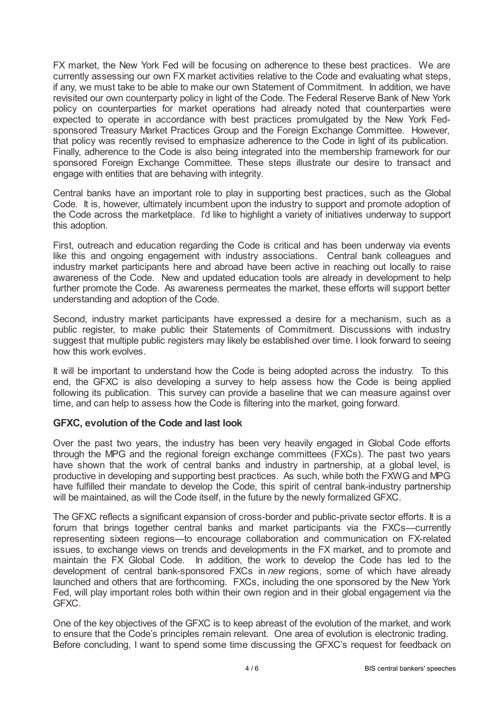FX market, the New York Fed will be focusing on adherence to these best practices. We are currently assessing our own FX market activities relative to the Code and evaluating what steps, if any, we must take to be able to make our own Statement of Commitment. In addition, we have revisited our own counterparty policy in light of the Code. The Federal Reserve Bank of New York policy on counterparties for market operations had already noted that counterparties were expected to operate in accordance with best practices promulgated by the New York Fedsponsored Treasury Market Practices Group and the Foreign Exchange Committee. However, that policy was recently revised to emphasize adherence to the Code in light of its publication. Finally, adherence to the Code is also being integrated into the membership framework for our sponsored Foreign Exchange Committee. These steps illustrate our desire to transact and engage with entities that are behaving with integrity.

Central banks have an important role to play in supporting best practices, such as the Global Code. It is, however, ultimately incumbent upon the industry to support and promote adoption of the Code across the marketplace. I'd like to highlight a variety of initiatives underway to support this adoption.

First, outreach and education regarding the Code is critical and has been underway via events like this and ongoing engagement with industry associations. Central bank colleagues and industry market participants here and abroad have been active in reaching out locally to raise awareness of the Code. New and updated education tools are already in development to help further promote the Code. As awareness permeates the market, these efforts will support better understanding and adoption of the Code.

Second, industry market participants have expressed a desire for a mechanism, such as a public register, to make public their Statements of Commitment. Discussions with industry suggest that multiple public registers may likely be established over time. I look forward to seeing how this work evolves.

It will be important to understand how the Code is being adopted across the industry. To this end, the GFXC is also developing a survey to help assess how the Code is being applied following its publication. This survey can provide a baseline that we can measure against over time, and can help to assess how the Code is filtering into the market, going forward.

# **GFXC, evolution of the Code and last look**

Over the past two years, the industry has been very heavily engaged in Global Code efforts through the MPG and the regional foreign exchange committees (FXCs). The past two years have shown that the work of central banks and industry in partnership, at a global level, is productive in developing and supporting best practices. As such, while both the FXWG and MPG have fulfilled their mandate to develop the Code, this spirit of central bank-industry partnership will be maintained, as will the Code itself, in the future by the newly formalized GFXC.

The GFXC reflects a significant expansion of cross-border and public-private sector efforts. It is a forum that brings together central banks and market participants via the FXCs—currently representing sixteen regions—to encourage collaboration and communication on FX-related issues, to exchange views on trends and developments in the FX market, and to promote and maintain the FX Global Code. In addition, the work to develop the Code has led to the development of central bank-sponsored FXCs in *new* regions, some of which have already launched and others that are forthcoming. FXCs, including the one sponsored by the New York Fed, will play important roles both within their own region and in their global engagement via the GFXC.

One of the key objectives of the GFXC is to keep abreast of the evolution of the market, and work to ensure that the Code's principles remain relevant. One area of evolution is electronic trading. Before concluding, I want to spend some time discussing the GFXC's request for feedback on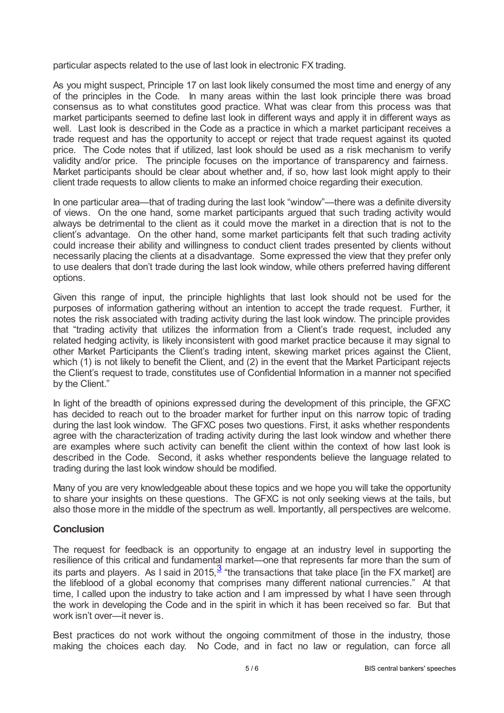particular aspects related to the use of last look in electronic FX trading.

As you might suspect, Principle 17 on last look likely consumed the most time and energy of any of the principles in the Code. In many areas within the last look principle there was broad consensus as to what constitutes good practice. What was clear from this process was that market participants seemed to define last look in different ways and apply it in different ways as well. Last look is described in the Code as a practice in which a market participant receives a trade request and has the opportunity to accept or reject that trade request against its quoted price. The Code notes that if utilized, last look should be used as a risk mechanism to verify validity and/or price. The principle focuses on the importance of transparency and fairness. Market participants should be clear about whether and, if so, how last look might apply to their client trade requests to allow clients to make an informed choice regarding their execution.

In one particular area—that of trading during the last look "window"—there was a definite diversity of views. On the one hand, some market participants argued that such trading activity would always be detrimental to the client as it could move the market in a direction that is not to the client's advantage. On the other hand, some market participants felt that such trading activity could increase their ability and willingness to conduct client trades presented by clients without necessarily placing the clients at a disadvantage. Some expressed the view that they prefer only to use dealers that don't trade during the last look window, while others preferred having different options.

Given this range of input, the principle highlights that last look should not be used for the purposes of information gathering without an intention to accept the trade request. Further, it notes the risk associated with trading activity during the last look window. The principle provides that "trading activity that utilizes the information from a Client's trade request, included any related hedging activity, is likely inconsistent with good market practice because it may signal to other Market Participants the Client's trading intent, skewing market prices against the Client, which (1) is not likely to benefit the Client, and (2) in the event that the Market Participant rejects the Client's request to trade, constitutes use of Confidential Information in a manner not specified by the Client."

In light of the breadth of opinions expressed during the development of this principle, the GFXC has decided to reach out to the broader market for further input on this narrow topic of trading during the last look window. The GFXC poses two questions. First, it asks whether respondents agree with the characterization of trading activity during the last look window and whether there are examples where such activity can benefit the client within the context of how last look is described in the Code. Second, it asks whether respondents believe the language related to trading during the last look window should be modified.

Many of you are very knowledgeable about these topics and we hope you will take the opportunity to share your insights on these questions. The GFXC is not only seeking views at the tails, but also those more in the middle of the spectrum as well. Importantly, all perspectives are welcome.

### **Conclusion**

<span id="page-4-0"></span>The request for feedback is an opportunity to engage at an industry level in supporting the resilience of this critical and fundamental market—one that represents far more than the sum of its parts and players. As I said in 2015, $^3$  $^3$  "the transactions that take place [in the FX market] are the lifeblood of a global economy that comprises many different national currencies." At that time, I called upon the industry to take action and I am impressed by what I have seen through the work in developing the Code and in the spirit in which it has been received so far. But that work isn't over—it never is.

Best practices do not work without the ongoing commitment of those in the industry, those making the choices each day. No Code, and in fact no law or regulation, can force all